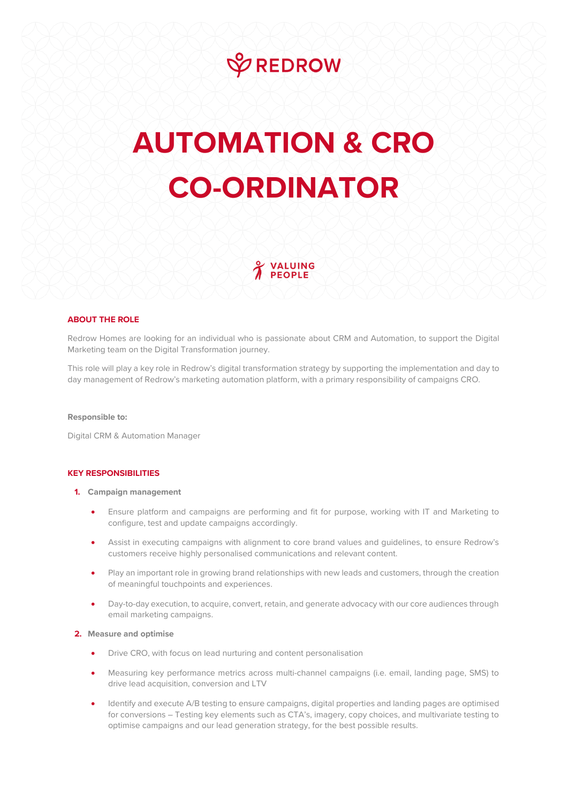# **VREDROW**

# **AUTOMATION & CRO CO-ORDINATOR**

VALUING **PEOPLE** 

# **ABOUT THE ROLE**

Redrow Homes are looking for an individual who is passionate about CRM and Automation, to support the Digital Marketing team on the Digital Transformation journey.

This role will play a key role in Redrow's digital transformation strategy by supporting the implementation and day to day management of Redrow's marketing automation platform, with a primary responsibility of campaigns CRO.

#### **Responsible to:**

Digital CRM & Automation Manager

#### **KEY RESPONSIBILITIES**

#### **1. Campaign management**

- Ensure platform and campaigns are performing and fit for purpose, working with IT and Marketing to configure, test and update campaigns accordingly.
- Assist in executing campaigns with alignment to core brand values and guidelines, to ensure Redrow's customers receive highly personalised communications and relevant content.
- Play an important role in growing brand relationships with new leads and customers, through the creation of meaningful touchpoints and experiences.
- Day-to-day execution, to acquire, convert, retain, and generate advocacy with our core audiences through email marketing campaigns.

# **2. Measure and optimise**

- Drive CRO, with focus on lead nurturing and content personalisation
- Measuring key performance metrics across multi-channel campaigns (i.e. email, landing page, SMS) to drive lead acquisition, conversion and LTV
- Identify and execute A/B testing to ensure campaigns, digital properties and landing pages are optimised for conversions – Testing key elements such as CTA's, imagery, copy choices, and multivariate testing to optimise campaigns and our lead generation strategy, for the best possible results.